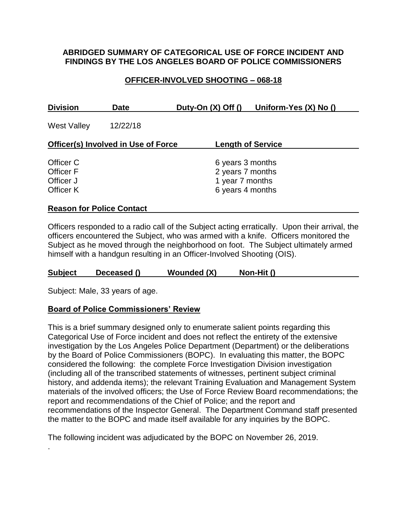### **ABRIDGED SUMMARY OF CATEGORICAL USE OF FORCE INCIDENT AND FINDINGS BY THE LOS ANGELES BOARD OF POLICE COMMISSIONERS**

## **OFFICER-INVOLVED SHOOTING – 068-18**

| <b>Division</b>                            | <b>Date</b> | Duty-On $(X)$ Off $()$              | Uniform-Yes $(X)$ No $()$ |  |
|--------------------------------------------|-------------|-------------------------------------|---------------------------|--|
| <b>West Valley</b>                         | 12/22/18    |                                     |                           |  |
| <b>Officer(s) Involved in Use of Force</b> |             |                                     | <b>Length of Service</b>  |  |
| Officer C                                  |             | 6 years 3 months                    |                           |  |
| <b>Officer F</b><br>Officer J              |             | 2 years 7 months<br>1 year 7 months |                           |  |
| Officer K                                  |             | 6 years 4 months                    |                           |  |
| <b>Reason for Police Contact</b>           |             |                                     |                           |  |

### Officers responded to a radio call of the Subject acting erratically. Upon their arrival, the officers encountered the Subject, who was armed with a knife. Officers monitored the Subject as he moved through the neighborhood on foot. The Subject ultimately armed himself with a handgun resulting in an Officer-Involved Shooting (OIS).

**Subject Deceased () Wounded (X) Non-Hit ()**

Subject: Male, 33 years of age.

.

### **Board of Police Commissioners' Review**

This is a brief summary designed only to enumerate salient points regarding this Categorical Use of Force incident and does not reflect the entirety of the extensive investigation by the Los Angeles Police Department (Department) or the deliberations by the Board of Police Commissioners (BOPC). In evaluating this matter, the BOPC considered the following: the complete Force Investigation Division investigation (including all of the transcribed statements of witnesses, pertinent subject criminal history, and addenda items); the relevant Training Evaluation and Management System materials of the involved officers; the Use of Force Review Board recommendations; the report and recommendations of the Chief of Police; and the report and recommendations of the Inspector General. The Department Command staff presented the matter to the BOPC and made itself available for any inquiries by the BOPC.

The following incident was adjudicated by the BOPC on November 26, 2019.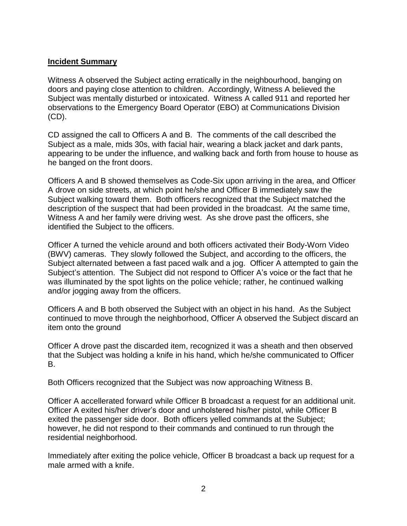### **Incident Summary**

Witness A observed the Subject acting erratically in the neighbourhood, banging on doors and paying close attention to children. Accordingly, Witness A believed the Subject was mentally disturbed or intoxicated. Witness A called 911 and reported her observations to the Emergency Board Operator (EBO) at Communications Division (CD).

CD assigned the call to Officers A and B. The comments of the call described the Subject as a male, mids 30s, with facial hair, wearing a black jacket and dark pants, appearing to be under the influence, and walking back and forth from house to house as he banged on the front doors.

Officers A and B showed themselves as Code-Six upon arriving in the area, and Officer A drove on side streets, at which point he/she and Officer B immediately saw the Subject walking toward them. Both officers recognized that the Subject matched the description of the suspect that had been provided in the broadcast. At the same time, Witness A and her family were driving west. As she drove past the officers, she identified the Subject to the officers.

Officer A turned the vehicle around and both officers activated their Body-Worn Video (BWV) cameras. They slowly followed the Subject, and according to the officers, the Subject alternated between a fast paced walk and a jog. Officer A attempted to gain the Subject's attention. The Subject did not respond to Officer A's voice or the fact that he was illuminated by the spot lights on the police vehicle; rather, he continued walking and/or jogging away from the officers.

Officers A and B both observed the Subject with an object in his hand. As the Subject continued to move through the neighborhood, Officer A observed the Subject discard an item onto the ground

Officer A drove past the discarded item, recognized it was a sheath and then observed that the Subject was holding a knife in his hand, which he/she communicated to Officer B.

Both Officers recognized that the Subject was now approaching Witness B.

Officer A accellerated forward while Officer B broadcast a request for an additional unit. Officer A exited his/her driver's door and unholstered his/her pistol, while Officer B exited the passenger side door. Both officers yelled commands at the Subject; however, he did not respond to their commands and continued to run through the residential neighborhood.

Immediately after exiting the police vehicle, Officer B broadcast a back up request for a male armed with a knife.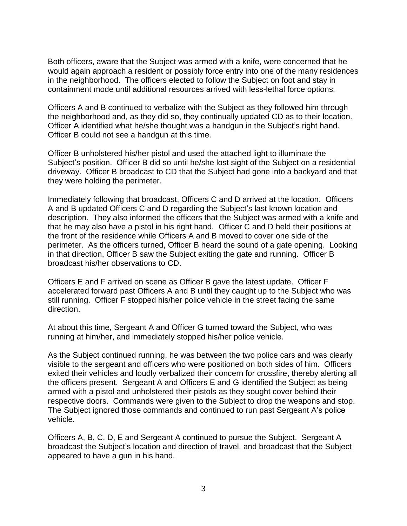Both officers, aware that the Subject was armed with a knife, were concerned that he would again approach a resident or possibly force entry into one of the many residences in the neighborhood. The officers elected to follow the Subject on foot and stay in containment mode until additional resources arrived with less-lethal force options.

Officers A and B continued to verbalize with the Subject as they followed him through the neighborhood and, as they did so, they continually updated CD as to their location. Officer A identified what he/she thought was a handgun in the Subject's right hand. Officer B could not see a handgun at this time.

Officer B unholstered his/her pistol and used the attached light to illuminate the Subject's position. Officer B did so until he/she lost sight of the Subject on a residential driveway. Officer B broadcast to CD that the Subject had gone into a backyard and that they were holding the perimeter.

Immediately following that broadcast, Officers C and D arrived at the location. Officers A and B updated Officers C and D regarding the Subject's last known location and description. They also informed the officers that the Subject was armed with a knife and that he may also have a pistol in his right hand. Officer C and D held their positions at the front of the residence while Officers A and B moved to cover one side of the perimeter. As the officers turned, Officer B heard the sound of a gate opening. Looking in that direction, Officer B saw the Subject exiting the gate and running. Officer B broadcast his/her observations to CD.

Officers E and F arrived on scene as Officer B gave the latest update. Officer F accelerated forward past Officers A and B until they caught up to the Subject who was still running. Officer F stopped his/her police vehicle in the street facing the same direction.

At about this time, Sergeant A and Officer G turned toward the Subject, who was running at him/her, and immediately stopped his/her police vehicle.

As the Subject continued running, he was between the two police cars and was clearly visible to the sergeant and officers who were positioned on both sides of him. Officers exited their vehicles and loudly verbalized their concern for crossfire, thereby alerting all the officers present. Sergeant A and Officers E and G identified the Subject as being armed with a pistol and unholstered their pistols as they sought cover behind their respective doors. Commands were given to the Subject to drop the weapons and stop. The Subject ignored those commands and continued to run past Sergeant A's police vehicle.

Officers A, B, C, D, E and Sergeant A continued to pursue the Subject. Sergeant A broadcast the Subject's location and direction of travel, and broadcast that the Subject appeared to have a gun in his hand.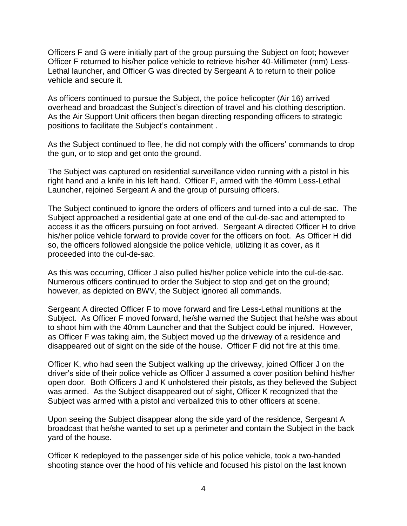Officers F and G were initially part of the group pursuing the Subject on foot; however Officer F returned to his/her police vehicle to retrieve his/her 40-Millimeter (mm) Less-Lethal launcher, and Officer G was directed by Sergeant A to return to their police vehicle and secure it.

As officers continued to pursue the Subject, the police helicopter (Air 16) arrived overhead and broadcast the Subject's direction of travel and his clothing description. As the Air Support Unit officers then began directing responding officers to strategic positions to facilitate the Subject's containment .

As the Subject continued to flee, he did not comply with the officers' commands to drop the gun, or to stop and get onto the ground.

The Subject was captured on residential surveillance video running with a pistol in his right hand and a knife in his left hand. Officer F, armed with the 40mm Less-Lethal Launcher, rejoined Sergeant A and the group of pursuing officers.

The Subject continued to ignore the orders of officers and turned into a cul-de-sac. The Subject approached a residential gate at one end of the cul-de-sac and attempted to access it as the officers pursuing on foot arrived. Sergeant A directed Officer H to drive his/her police vehicle forward to provide cover for the officers on foot. As Officer H did so, the officers followed alongside the police vehicle, utilizing it as cover, as it proceeded into the cul-de-sac.

As this was occurring, Officer J also pulled his/her police vehicle into the cul-de-sac. Numerous officers continued to order the Subject to stop and get on the ground; however, as depicted on BWV, the Subject ignored all commands.

Sergeant A directed Officer F to move forward and fire Less-Lethal munitions at the Subject. As Officer F moved forward, he/she warned the Subject that he/she was about to shoot him with the 40mm Launcher and that the Subject could be injured. However, as Officer F was taking aim, the Subject moved up the driveway of a residence and disappeared out of sight on the side of the house. Officer F did not fire at this time.

Officer K, who had seen the Subject walking up the driveway, joined Officer J on the driver's side of their police vehicle as Officer J assumed a cover position behind his/her open door. Both Officers J and K unholstered their pistols, as they believed the Subject was armed. As the Subject disappeared out of sight, Officer K recognized that the Subject was armed with a pistol and verbalized this to other officers at scene.

Upon seeing the Subject disappear along the side yard of the residence, Sergeant A broadcast that he/she wanted to set up a perimeter and contain the Subject in the back yard of the house.

Officer K redeployed to the passenger side of his police vehicle, took a two-handed shooting stance over the hood of his vehicle and focused his pistol on the last known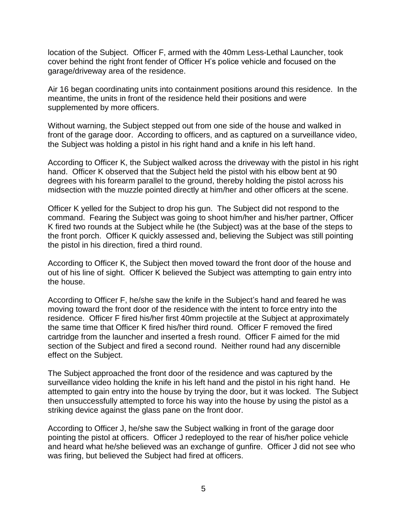location of the Subject. Officer F, armed with the 40mm Less-Lethal Launcher, took cover behind the right front fender of Officer H's police vehicle and focused on the garage/driveway area of the residence.

Air 16 began coordinating units into containment positions around this residence. In the meantime, the units in front of the residence held their positions and were supplemented by more officers.

Without warning, the Subject stepped out from one side of the house and walked in front of the garage door. According to officers, and as captured on a surveillance video, the Subject was holding a pistol in his right hand and a knife in his left hand.

According to Officer K, the Subject walked across the driveway with the pistol in his right hand. Officer K observed that the Subject held the pistol with his elbow bent at 90 degrees with his forearm parallel to the ground, thereby holding the pistol across his midsection with the muzzle pointed directly at him/her and other officers at the scene.

Officer K yelled for the Subject to drop his gun. The Subject did not respond to the command. Fearing the Subject was going to shoot him/her and his/her partner, Officer K fired two rounds at the Subject while he (the Subject) was at the base of the steps to the front porch. Officer K quickly assessed and, believing the Subject was still pointing the pistol in his direction, fired a third round.

According to Officer K, the Subject then moved toward the front door of the house and out of his line of sight. Officer K believed the Subject was attempting to gain entry into the house.

According to Officer F, he/she saw the knife in the Subject's hand and feared he was moving toward the front door of the residence with the intent to force entry into the residence. Officer F fired his/her first 40mm projectile at the Subject at approximately the same time that Officer K fired his/her third round. Officer F removed the fired cartridge from the launcher and inserted a fresh round. Officer F aimed for the mid section of the Subject and fired a second round. Neither round had any discernible effect on the Subject.

The Subject approached the front door of the residence and was captured by the surveillance video holding the knife in his left hand and the pistol in his right hand. He attempted to gain entry into the house by trying the door, but it was locked. The Subject then unsuccessfully attempted to force his way into the house by using the pistol as a striking device against the glass pane on the front door.

According to Officer J, he/she saw the Subject walking in front of the garage door pointing the pistol at officers. Officer J redeployed to the rear of his/her police vehicle and heard what he/she believed was an exchange of gunfire. Officer J did not see who was firing, but believed the Subject had fired at officers.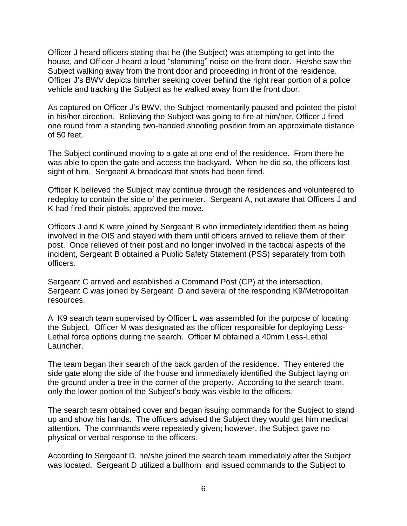Officer J heard officers stating that he (the Subject) was attempting to get into the house, and Officer J heard a loud "slamming" noise on the front door. He/she saw the Subject walking away from the front door and proceeding in front of the residence. Officer J's BWV depicts him/her seeking cover behind the right rear portion of a police vehicle and tracking the Subject as he walked away from the front door.

As captured on Officer J's BWV, the Subject momentarily paused and pointed the pistol in his/her direction. Believing the Subject was going to fire at him/her, Officer J fired one round from a standing two-handed shooting position from an approximate distance of 50 feet.

The Subject continued moving to a gate at one end of the residence. From there he was able to open the gate and access the backyard. When he did so, the officers lost sight of him. Sergeant A broadcast that shots had been fired.

Officer K believed the Subject may continue through the residences and volunteered to redeploy to contain the side of the perimeter. Sergeant A, not aware that Officers J and K had fired their pistols, approved the move.

Officers J and K were joined by Sergeant B who immediately identified them as being involved in the OIS and stayed with them until officers arrived to relieve them of their post. Once relieved of their post and no longer involved in the tactical aspects of the incident, Sergeant B obtained a Public Safety Statement (PSS) separately from both officers.

Sergeant C arrived and established a Command Post (CP) at the intersection. Sergeant C was joined by Sergeant D and several of the responding K9/Metropolitan resources.

A K9 search team supervised by Officer L was assembled for the purpose of locating the Subject. Officer M was designated as the officer responsible for deploying Less-Lethal force options during the search. Officer M obtained a 40mm Less-Lethal Launcher.

The team began their search of the back garden of the residence. They entered the side gate along the side of the house and immediately identified the Subject laying on the ground under a tree in the corner of the property. According to the search team, only the lower portion of the Subject's body was visible to the officers.

The search team obtained cover and began issuing commands for the Subject to stand up and show his hands. The officers advised the Subject they would get him medical attention. The commands were repeatedly given; however, the Subject gave no physical or verbal response to the officers.

According to Sergeant D, he/she joined the search team immediately after the Subject was located. Sergeant D utilized a bullhorn and issued commands to the Subject to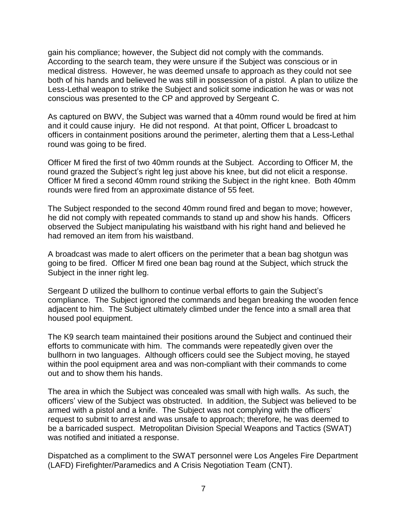gain his compliance; however, the Subject did not comply with the commands. According to the search team, they were unsure if the Subject was conscious or in medical distress. However, he was deemed unsafe to approach as they could not see both of his hands and believed he was still in possession of a pistol. A plan to utilize the Less-Lethal weapon to strike the Subject and solicit some indication he was or was not conscious was presented to the CP and approved by Sergeant C.

As captured on BWV, the Subject was warned that a 40mm round would be fired at him and it could cause injury. He did not respond. At that point, Officer L broadcast to officers in containment positions around the perimeter, alerting them that a Less-Lethal round was going to be fired.

Officer M fired the first of two 40mm rounds at the Subject. According to Officer M, the round grazed the Subject's right leg just above his knee, but did not elicit a response. Officer M fired a second 40mm round striking the Subject in the right knee. Both 40mm rounds were fired from an approximate distance of 55 feet.

The Subject responded to the second 40mm round fired and began to move; however, he did not comply with repeated commands to stand up and show his hands. Officers observed the Subject manipulating his waistband with his right hand and believed he had removed an item from his waistband.

A broadcast was made to alert officers on the perimeter that a bean bag shotgun was going to be fired. Officer M fired one bean bag round at the Subject, which struck the Subject in the inner right leg.

Sergeant D utilized the bullhorn to continue verbal efforts to gain the Subject's compliance. The Subject ignored the commands and began breaking the wooden fence adjacent to him. The Subject ultimately climbed under the fence into a small area that housed pool equipment.

The K9 search team maintained their positions around the Subject and continued their efforts to communicate with him. The commands were repeatedly given over the bullhorn in two languages. Although officers could see the Subject moving, he stayed within the pool equipment area and was non-compliant with their commands to come out and to show them his hands.

The area in which the Subject was concealed was small with high walls. As such, the officers' view of the Subject was obstructed. In addition, the Subject was believed to be armed with a pistol and a knife. The Subject was not complying with the officers' request to submit to arrest and was unsafe to approach; therefore, he was deemed to be a barricaded suspect. Metropolitan Division Special Weapons and Tactics (SWAT) was notified and initiated a response.

Dispatched as a compliment to the SWAT personnel were Los Angeles Fire Department (LAFD) Firefighter/Paramedics and A Crisis Negotiation Team (CNT).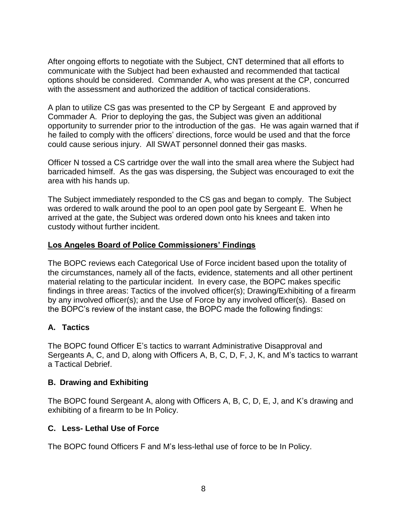After ongoing efforts to negotiate with the Subject, CNT determined that all efforts to communicate with the Subject had been exhausted and recommended that tactical options should be considered. Commander A, who was present at the CP, concurred with the assessment and authorized the addition of tactical considerations.

A plan to utilize CS gas was presented to the CP by Sergeant E and approved by Commader A. Prior to deploying the gas, the Subject was given an additional opportunity to surrender prior to the introduction of the gas. He was again warned that if he failed to comply with the officers' directions, force would be used and that the force could cause serious injury. All SWAT personnel donned their gas masks.

Officer N tossed a CS cartridge over the wall into the small area where the Subject had barricaded himself. As the gas was dispersing, the Subject was encouraged to exit the area with his hands up.

The Subject immediately responded to the CS gas and began to comply. The Subject was ordered to walk around the pool to an open pool gate by Sergeant E. When he arrived at the gate, the Subject was ordered down onto his knees and taken into custody without further incident.

## **Los Angeles Board of Police Commissioners' Findings**

The BOPC reviews each Categorical Use of Force incident based upon the totality of the circumstances, namely all of the facts, evidence, statements and all other pertinent material relating to the particular incident. In every case, the BOPC makes specific findings in three areas: Tactics of the involved officer(s); Drawing/Exhibiting of a firearm by any involved officer(s); and the Use of Force by any involved officer(s). Based on the BOPC's review of the instant case, the BOPC made the following findings:

# **A. Tactics**

The BOPC found Officer E's tactics to warrant Administrative Disapproval and Sergeants A, C, and D, along with Officers A, B, C, D, F, J, K, and M's tactics to warrant a Tactical Debrief.

# **B. Drawing and Exhibiting**

The BOPC found Sergeant A, along with Officers A, B, C, D, E, J, and K's drawing and exhibiting of a firearm to be In Policy.

# **C. Less- Lethal Use of Force**

The BOPC found Officers F and M's less-lethal use of force to be In Policy.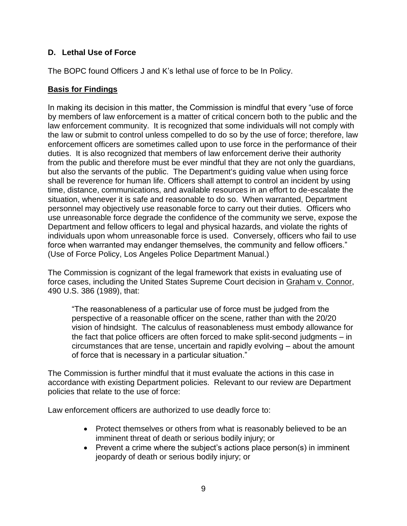## **D. Lethal Use of Force**

The BOPC found Officers J and K's lethal use of force to be In Policy.

### **Basis for Findings**

In making its decision in this matter, the Commission is mindful that every "use of force by members of law enforcement is a matter of critical concern both to the public and the law enforcement community. It is recognized that some individuals will not comply with the law or submit to control unless compelled to do so by the use of force; therefore, law enforcement officers are sometimes called upon to use force in the performance of their duties. It is also recognized that members of law enforcement derive their authority from the public and therefore must be ever mindful that they are not only the guardians, but also the servants of the public. The Department's guiding value when using force shall be reverence for human life. Officers shall attempt to control an incident by using time, distance, communications, and available resources in an effort to de-escalate the situation, whenever it is safe and reasonable to do so. When warranted, Department personnel may objectively use reasonable force to carry out their duties. Officers who use unreasonable force degrade the confidence of the community we serve, expose the Department and fellow officers to legal and physical hazards, and violate the rights of individuals upon whom unreasonable force is used. Conversely, officers who fail to use force when warranted may endanger themselves, the community and fellow officers." (Use of Force Policy, Los Angeles Police Department Manual.)

The Commission is cognizant of the legal framework that exists in evaluating use of force cases, including the United States Supreme Court decision in Graham v. Connor, 490 U.S. 386 (1989), that:

"The reasonableness of a particular use of force must be judged from the perspective of a reasonable officer on the scene, rather than with the 20/20 vision of hindsight. The calculus of reasonableness must embody allowance for the fact that police officers are often forced to make split-second judgments – in circumstances that are tense, uncertain and rapidly evolving – about the amount of force that is necessary in a particular situation."

The Commission is further mindful that it must evaluate the actions in this case in accordance with existing Department policies. Relevant to our review are Department policies that relate to the use of force:

Law enforcement officers are authorized to use deadly force to:

- Protect themselves or others from what is reasonably believed to be an imminent threat of death or serious bodily injury; or
- Prevent a crime where the subject's actions place person(s) in imminent jeopardy of death or serious bodily injury; or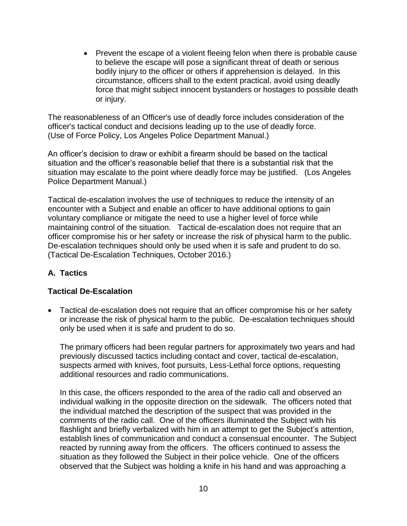• Prevent the escape of a violent fleeing felon when there is probable cause to believe the escape will pose a significant threat of death or serious bodily injury to the officer or others if apprehension is delayed. In this circumstance, officers shall to the extent practical, avoid using deadly force that might subject innocent bystanders or hostages to possible death or injury.

The reasonableness of an Officer's use of deadly force includes consideration of the officer's tactical conduct and decisions leading up to the use of deadly force. (Use of Force Policy, Los Angeles Police Department Manual.)

An officer's decision to draw or exhibit a firearm should be based on the tactical situation and the officer's reasonable belief that there is a substantial risk that the situation may escalate to the point where deadly force may be justified. (Los Angeles Police Department Manual.)

Tactical de-escalation involves the use of techniques to reduce the intensity of an encounter with a Subject and enable an officer to have additional options to gain voluntary compliance or mitigate the need to use a higher level of force while maintaining control of the situation. Tactical de-escalation does not require that an officer compromise his or her safety or increase the risk of physical harm to the public. De-escalation techniques should only be used when it is safe and prudent to do so. (Tactical De-Escalation Techniques, October 2016.)

## **A. Tactics**

## **Tactical De-Escalation**

• Tactical de-escalation does not require that an officer compromise his or her safety or increase the risk of physical harm to the public. De-escalation techniques should only be used when it is safe and prudent to do so.

The primary officers had been regular partners for approximately two years and had previously discussed tactics including contact and cover, tactical de-escalation, suspects armed with knives, foot pursuits, Less-Lethal force options, requesting additional resources and radio communications.

In this case, the officers responded to the area of the radio call and observed an individual walking in the opposite direction on the sidewalk. The officers noted that the individual matched the description of the suspect that was provided in the comments of the radio call. One of the officers illuminated the Subject with his flashlight and briefly verbalized with him in an attempt to get the Subject's attention, establish lines of communication and conduct a consensual encounter. The Subject reacted by running away from the officers. The officers continued to assess the situation as they followed the Subject in their police vehicle. One of the officers observed that the Subject was holding a knife in his hand and was approaching a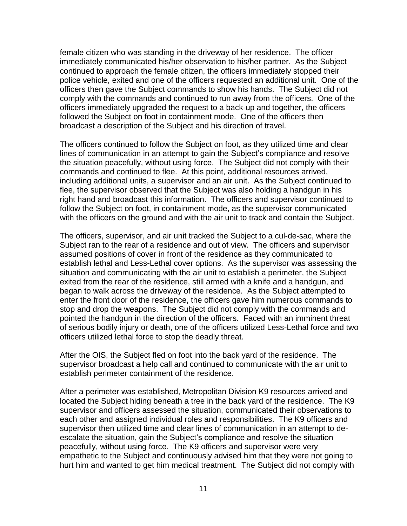female citizen who was standing in the driveway of her residence. The officer immediately communicated his/her observation to his/her partner. As the Subject continued to approach the female citizen, the officers immediately stopped their police vehicle, exited and one of the officers requested an additional unit. One of the officers then gave the Subject commands to show his hands. The Subject did not comply with the commands and continued to run away from the officers. One of the officers immediately upgraded the request to a back-up and together, the officers followed the Subject on foot in containment mode. One of the officers then broadcast a description of the Subject and his direction of travel.

The officers continued to follow the Subject on foot, as they utilized time and clear lines of communication in an attempt to gain the Subject's compliance and resolve the situation peacefully, without using force. The Subject did not comply with their commands and continued to flee. At this point, additional resources arrived, including additional units, a supervisor and an air unit. As the Subject continued to flee, the supervisor observed that the Subject was also holding a handgun in his right hand and broadcast this information. The officers and supervisor continued to follow the Subject on foot, in containment mode, as the supervisor communicated with the officers on the ground and with the air unit to track and contain the Subject.

The officers, supervisor, and air unit tracked the Subject to a cul-de-sac, where the Subject ran to the rear of a residence and out of view. The officers and supervisor assumed positions of cover in front of the residence as they communicated to establish lethal and Less-Lethal cover options. As the supervisor was assessing the situation and communicating with the air unit to establish a perimeter, the Subject exited from the rear of the residence, still armed with a knife and a handgun, and began to walk across the driveway of the residence. As the Subject attempted to enter the front door of the residence, the officers gave him numerous commands to stop and drop the weapons. The Subject did not comply with the commands and pointed the handgun in the direction of the officers. Faced with an imminent threat of serious bodily injury or death, one of the officers utilized Less-Lethal force and two officers utilized lethal force to stop the deadly threat.

After the OIS, the Subject fled on foot into the back yard of the residence. The supervisor broadcast a help call and continued to communicate with the air unit to establish perimeter containment of the residence.

After a perimeter was established, Metropolitan Division K9 resources arrived and located the Subject hiding beneath a tree in the back yard of the residence. The K9 supervisor and officers assessed the situation, communicated their observations to each other and assigned individual roles and responsibilities. The K9 officers and supervisor then utilized time and clear lines of communication in an attempt to deescalate the situation, gain the Subject's compliance and resolve the situation peacefully, without using force. The K9 officers and supervisor were very empathetic to the Subject and continuously advised him that they were not going to hurt him and wanted to get him medical treatment. The Subject did not comply with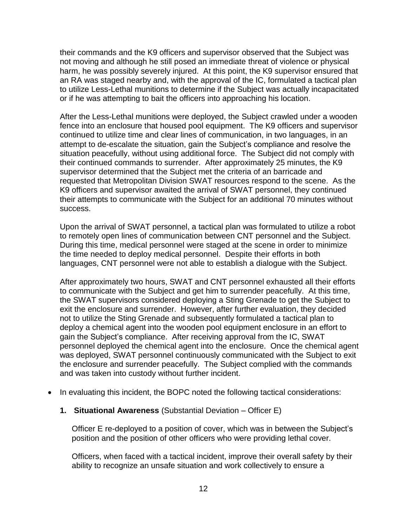their commands and the K9 officers and supervisor observed that the Subject was not moving and although he still posed an immediate threat of violence or physical harm, he was possibly severely injured. At this point, the K9 supervisor ensured that an RA was staged nearby and, with the approval of the IC, formulated a tactical plan to utilize Less-Lethal munitions to determine if the Subject was actually incapacitated or if he was attempting to bait the officers into approaching his location.

After the Less-Lethal munitions were deployed, the Subject crawled under a wooden fence into an enclosure that housed pool equipment. The K9 officers and supervisor continued to utilize time and clear lines of communication, in two languages, in an attempt to de-escalate the situation, gain the Subject's compliance and resolve the situation peacefully, without using additional force. The Subject did not comply with their continued commands to surrender. After approximately 25 minutes, the K9 supervisor determined that the Subject met the criteria of an barricade and requested that Metropolitan Division SWAT resources respond to the scene. As the K9 officers and supervisor awaited the arrival of SWAT personnel, they continued their attempts to communicate with the Subject for an additional 70 minutes without success.

Upon the arrival of SWAT personnel, a tactical plan was formulated to utilize a robot to remotely open lines of communication between CNT personnel and the Subject. During this time, medical personnel were staged at the scene in order to minimize the time needed to deploy medical personnel. Despite their efforts in both languages, CNT personnel were not able to establish a dialogue with the Subject.

After approximately two hours, SWAT and CNT personnel exhausted all their efforts to communicate with the Subject and get him to surrender peacefully. At this time, the SWAT supervisors considered deploying a Sting Grenade to get the Subject to exit the enclosure and surrender. However, after further evaluation, they decided not to utilize the Sting Grenade and subsequently formulated a tactical plan to deploy a chemical agent into the wooden pool equipment enclosure in an effort to gain the Subject's compliance. After receiving approval from the IC, SWAT personnel deployed the chemical agent into the enclosure. Once the chemical agent was deployed, SWAT personnel continuously communicated with the Subject to exit the enclosure and surrender peacefully. The Subject complied with the commands and was taken into custody without further incident.

- In evaluating this incident, the BOPC noted the following tactical considerations:
	- **1. Situational Awareness** (Substantial Deviation Officer E)

Officer E re-deployed to a position of cover, which was in between the Subject's position and the position of other officers who were providing lethal cover.

Officers, when faced with a tactical incident, improve their overall safety by their ability to recognize an unsafe situation and work collectively to ensure a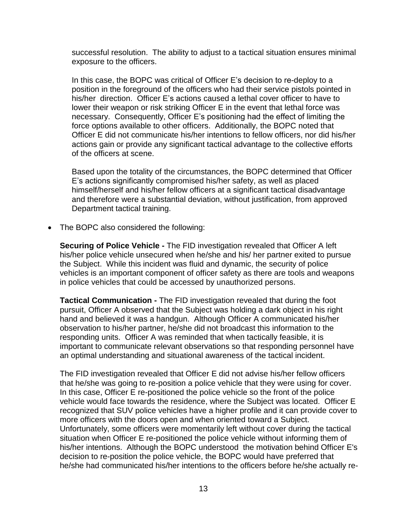successful resolution. The ability to adjust to a tactical situation ensures minimal exposure to the officers.

In this case, the BOPC was critical of Officer E's decision to re-deploy to a position in the foreground of the officers who had their service pistols pointed in his/her direction. Officer E's actions caused a lethal cover officer to have to lower their weapon or risk striking Officer E in the event that lethal force was necessary. Consequently, Officer E's positioning had the effect of limiting the force options available to other officers. Additionally, the BOPC noted that Officer E did not communicate his/her intentions to fellow officers, nor did his/her actions gain or provide any significant tactical advantage to the collective efforts of the officers at scene.

Based upon the totality of the circumstances, the BOPC determined that Officer E's actions significantly compromised his/her safety, as well as placed himself/herself and his/her fellow officers at a significant tactical disadvantage and therefore were a substantial deviation, without justification, from approved Department tactical training.

• The BOPC also considered the following:

**Securing of Police Vehicle -** The FID investigation revealed that Officer A left his/her police vehicle unsecured when he/she and his/ her partner exited to pursue the Subject. While this incident was fluid and dynamic, the security of police vehicles is an important component of officer safety as there are tools and weapons in police vehicles that could be accessed by unauthorized persons.

**Tactical Communication -** The FID investigation revealed that during the foot pursuit, Officer A observed that the Subject was holding a dark object in his right hand and believed it was a handgun. Although Officer A communicated his/her observation to his/her partner, he/she did not broadcast this information to the responding units. Officer A was reminded that when tactically feasible, it is important to communicate relevant observations so that responding personnel have an optimal understanding and situational awareness of the tactical incident.

The FID investigation revealed that Officer E did not advise his/her fellow officers that he/she was going to re-position a police vehicle that they were using for cover. In this case, Officer E re-positioned the police vehicle so the front of the police vehicle would face towards the residence, where the Subject was located. Officer E recognized that SUV police vehicles have a higher profile and it can provide cover to more officers with the doors open and when oriented toward a Subject. Unfortunately, some officers were momentarily left without cover during the tactical situation when Officer E re-positioned the police vehicle without informing them of his/her intentions. Although the BOPC understood the motivation behind Officer E's decision to re-position the police vehicle, the BOPC would have preferred that he/she had communicated his/her intentions to the officers before he/she actually re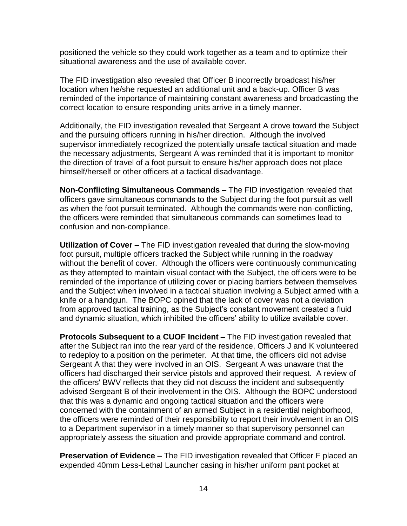positioned the vehicle so they could work together as a team and to optimize their situational awareness and the use of available cover.

The FID investigation also revealed that Officer B incorrectly broadcast his/her location when he/she requested an additional unit and a back-up. Officer B was reminded of the importance of maintaining constant awareness and broadcasting the correct location to ensure responding units arrive in a timely manner.

Additionally, the FID investigation revealed that Sergeant A drove toward the Subject and the pursuing officers running in his/her direction. Although the involved supervisor immediately recognized the potentially unsafe tactical situation and made the necessary adjustments, Sergeant A was reminded that it is important to monitor the direction of travel of a foot pursuit to ensure his/her approach does not place himself/herself or other officers at a tactical disadvantage.

**Non-Conflicting Simultaneous Commands –** The FID investigation revealed that officers gave simultaneous commands to the Subject during the foot pursuit as well as when the foot pursuit terminated. Although the commands were non-conflicting, the officers were reminded that simultaneous commands can sometimes lead to confusion and non-compliance.

**Utilization of Cover –** The FID investigation revealed that during the slow-moving foot pursuit, multiple officers tracked the Subject while running in the roadway without the benefit of cover. Although the officers were continuously communicating as they attempted to maintain visual contact with the Subject, the officers were to be reminded of the importance of utilizing cover or placing barriers between themselves and the Subject when involved in a tactical situation involving a Subject armed with a knife or a handgun. The BOPC opined that the lack of cover was not a deviation from approved tactical training, as the Subject's constant movement created a fluid and dynamic situation, which inhibited the officers' ability to utilize available cover.

**Protocols Subsequent to a CUOF Incident –** The FID investigation revealed that after the Subject ran into the rear yard of the residence, Officers J and K volunteered to redeploy to a position on the perimeter. At that time, the officers did not advise Sergeant A that they were involved in an OIS. Sergeant A was unaware that the officers had discharged their service pistols and approved their request. A review of the officers' BWV reflects that they did not discuss the incident and subsequently advised Sergeant B of their involvement in the OIS. Although the BOPC understood that this was a dynamic and ongoing tactical situation and the officers were concerned with the containment of an armed Subject in a residential neighborhood, the officers were reminded of their responsibility to report their involvement in an OIS to a Department supervisor in a timely manner so that supervisory personnel can appropriately assess the situation and provide appropriate command and control.

**Preservation of Evidence –** The FID investigation revealed that Officer F placed an expended 40mm Less-Lethal Launcher casing in his/her uniform pant pocket at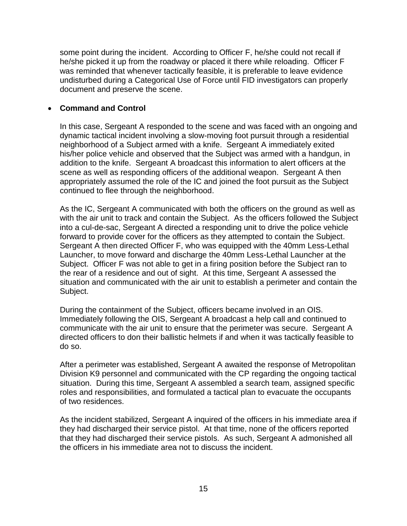some point during the incident. According to Officer F, he/she could not recall if he/she picked it up from the roadway or placed it there while reloading. Officer F was reminded that whenever tactically feasible, it is preferable to leave evidence undisturbed during a Categorical Use of Force until FID investigators can properly document and preserve the scene.

### • **Command and Control**

In this case, Sergeant A responded to the scene and was faced with an ongoing and dynamic tactical incident involving a slow-moving foot pursuit through a residential neighborhood of a Subject armed with a knife. Sergeant A immediately exited his/her police vehicle and observed that the Subject was armed with a handgun, in addition to the knife. Sergeant A broadcast this information to alert officers at the scene as well as responding officers of the additional weapon. Sergeant A then appropriately assumed the role of the IC and joined the foot pursuit as the Subject continued to flee through the neighborhood.

As the IC, Sergeant A communicated with both the officers on the ground as well as with the air unit to track and contain the Subject. As the officers followed the Subject into a cul-de-sac, Sergeant A directed a responding unit to drive the police vehicle forward to provide cover for the officers as they attempted to contain the Subject. Sergeant A then directed Officer F, who was equipped with the 40mm Less-Lethal Launcher, to move forward and discharge the 40mm Less-Lethal Launcher at the Subject. Officer F was not able to get in a firing position before the Subject ran to the rear of a residence and out of sight. At this time, Sergeant A assessed the situation and communicated with the air unit to establish a perimeter and contain the Subject.

During the containment of the Subject, officers became involved in an OIS. Immediately following the OIS, Sergeant A broadcast a help call and continued to communicate with the air unit to ensure that the perimeter was secure. Sergeant A directed officers to don their ballistic helmets if and when it was tactically feasible to do so.

After a perimeter was established, Sergeant A awaited the response of Metropolitan Division K9 personnel and communicated with the CP regarding the ongoing tactical situation. During this time, Sergeant A assembled a search team, assigned specific roles and responsibilities, and formulated a tactical plan to evacuate the occupants of two residences.

As the incident stabilized, Sergeant A inquired of the officers in his immediate area if they had discharged their service pistol. At that time, none of the officers reported that they had discharged their service pistols. As such, Sergeant A admonished all the officers in his immediate area not to discuss the incident.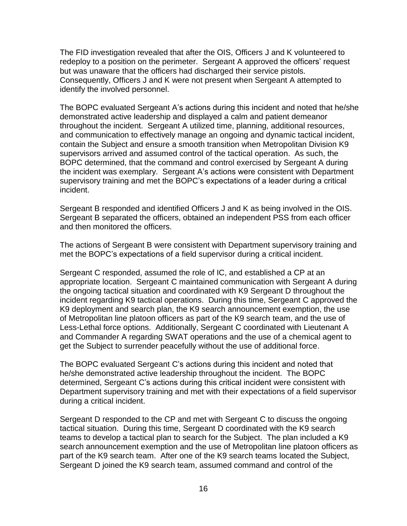The FID investigation revealed that after the OIS, Officers J and K volunteered to redeploy to a position on the perimeter. Sergeant A approved the officers' request but was unaware that the officers had discharged their service pistols. Consequently, Officers J and K were not present when Sergeant A attempted to identify the involved personnel.

The BOPC evaluated Sergeant A's actions during this incident and noted that he/she demonstrated active leadership and displayed a calm and patient demeanor throughout the incident. Sergeant A utilized time, planning, additional resources, and communication to effectively manage an ongoing and dynamic tactical incident, contain the Subject and ensure a smooth transition when Metropolitan Division K9 supervisors arrived and assumed control of the tactical operation. As such, the BOPC determined, that the command and control exercised by Sergeant A during the incident was exemplary. Sergeant A's actions were consistent with Department supervisory training and met the BOPC's expectations of a leader during a critical incident.

Sergeant B responded and identified Officers J and K as being involved in the OIS. Sergeant B separated the officers, obtained an independent PSS from each officer and then monitored the officers.

The actions of Sergeant B were consistent with Department supervisory training and met the BOPC's expectations of a field supervisor during a critical incident.

Sergeant C responded, assumed the role of IC, and established a CP at an appropriate location. Sergeant C maintained communication with Sergeant A during the ongoing tactical situation and coordinated with K9 Sergeant D throughout the incident regarding K9 tactical operations. During this time, Sergeant C approved the K9 deployment and search plan, the K9 search announcement exemption, the use of Metropolitan line platoon officers as part of the K9 search team, and the use of Less-Lethal force options. Additionally, Sergeant C coordinated with Lieutenant A and Commander A regarding SWAT operations and the use of a chemical agent to get the Subject to surrender peacefully without the use of additional force.

The BOPC evaluated Sergeant C's actions during this incident and noted that he/she demonstrated active leadership throughout the incident. The BOPC determined, Sergeant C's actions during this critical incident were consistent with Department supervisory training and met with their expectations of a field supervisor during a critical incident.

Sergeant D responded to the CP and met with Sergeant C to discuss the ongoing tactical situation. During this time, Sergeant D coordinated with the K9 search teams to develop a tactical plan to search for the Subject. The plan included a K9 search announcement exemption and the use of Metropolitan line platoon officers as part of the K9 search team. After one of the K9 search teams located the Subject, Sergeant D joined the K9 search team, assumed command and control of the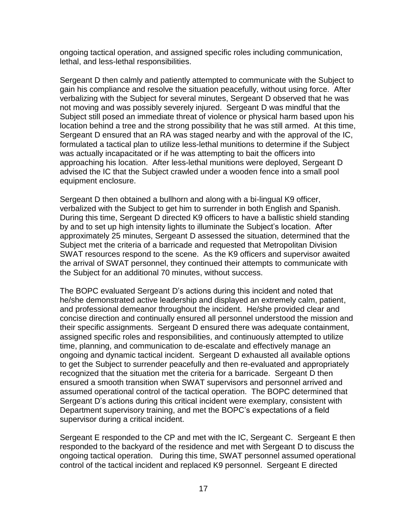ongoing tactical operation, and assigned specific roles including communication, lethal, and less-lethal responsibilities.

Sergeant D then calmly and patiently attempted to communicate with the Subject to gain his compliance and resolve the situation peacefully, without using force. After verbalizing with the Subject for several minutes, Sergeant D observed that he was not moving and was possibly severely injured. Sergeant D was mindful that the Subject still posed an immediate threat of violence or physical harm based upon his location behind a tree and the strong possibility that he was still armed. At this time, Sergeant D ensured that an RA was staged nearby and with the approval of the IC, formulated a tactical plan to utilize less-lethal munitions to determine if the Subject was actually incapacitated or if he was attempting to bait the officers into approaching his location. After less-lethal munitions were deployed, Sergeant D advised the IC that the Subject crawled under a wooden fence into a small pool equipment enclosure.

Sergeant D then obtained a bullhorn and along with a bi-lingual K9 officer, verbalized with the Subject to get him to surrender in both English and Spanish. During this time, Sergeant D directed K9 officers to have a ballistic shield standing by and to set up high intensity lights to illuminate the Subject's location. After approximately 25 minutes, Sergeant D assessed the situation, determined that the Subject met the criteria of a barricade and requested that Metropolitan Division SWAT resources respond to the scene. As the K9 officers and supervisor awaited the arrival of SWAT personnel, they continued their attempts to communicate with the Subject for an additional 70 minutes, without success.

The BOPC evaluated Sergeant D's actions during this incident and noted that he/she demonstrated active leadership and displayed an extremely calm, patient, and professional demeanor throughout the incident. He/she provided clear and concise direction and continually ensured all personnel understood the mission and their specific assignments. Sergeant D ensured there was adequate containment, assigned specific roles and responsibilities, and continuously attempted to utilize time, planning, and communication to de-escalate and effectively manage an ongoing and dynamic tactical incident. Sergeant D exhausted all available options to get the Subject to surrender peacefully and then re-evaluated and appropriately recognized that the situation met the criteria for a barricade. Sergeant D then ensured a smooth transition when SWAT supervisors and personnel arrived and assumed operational control of the tactical operation. The BOPC determined that Sergeant D's actions during this critical incident were exemplary, consistent with Department supervisory training, and met the BOPC's expectations of a field supervisor during a critical incident.

Sergeant E responded to the CP and met with the IC, Sergeant C. Sergeant E then responded to the backyard of the residence and met with Sergeant D to discuss the ongoing tactical operation. During this time, SWAT personnel assumed operational control of the tactical incident and replaced K9 personnel. Sergeant E directed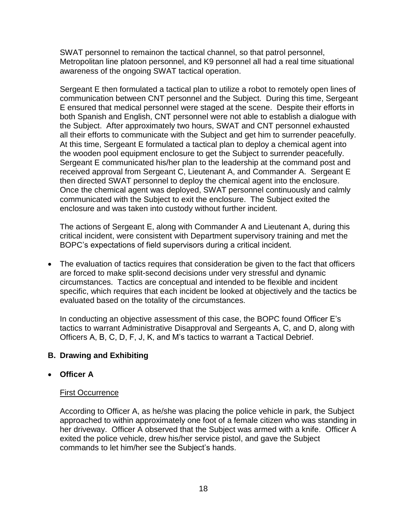SWAT personnel to remainon the tactical channel, so that patrol personnel, Metropolitan line platoon personnel, and K9 personnel all had a real time situational awareness of the ongoing SWAT tactical operation.

Sergeant E then formulated a tactical plan to utilize a robot to remotely open lines of communication between CNT personnel and the Subject. During this time, Sergeant E ensured that medical personnel were staged at the scene. Despite their efforts in both Spanish and English, CNT personnel were not able to establish a dialogue with the Subject. After approximately two hours, SWAT and CNT personnel exhausted all their efforts to communicate with the Subject and get him to surrender peacefully. At this time, Sergeant E formulated a tactical plan to deploy a chemical agent into the wooden pool equipment enclosure to get the Subject to surrender peacefully. Sergeant E communicated his/her plan to the leadership at the command post and received approval from Sergeant C, Lieutenant A, and Commander A. Sergeant E then directed SWAT personnel to deploy the chemical agent into the enclosure. Once the chemical agent was deployed, SWAT personnel continuously and calmly communicated with the Subject to exit the enclosure. The Subject exited the enclosure and was taken into custody without further incident.

The actions of Sergeant E, along with Commander A and Lieutenant A, during this critical incident, were consistent with Department supervisory training and met the BOPC's expectations of field supervisors during a critical incident.

• The evaluation of tactics requires that consideration be given to the fact that officers are forced to make split-second decisions under very stressful and dynamic circumstances. Tactics are conceptual and intended to be flexible and incident specific, which requires that each incident be looked at objectively and the tactics be evaluated based on the totality of the circumstances.

In conducting an objective assessment of this case, the BOPC found Officer E's tactics to warrant Administrative Disapproval and Sergeants A, C, and D, along with Officers A, B, C, D, F, J, K, and M's tactics to warrant a Tactical Debrief.

## **B. Drawing and Exhibiting**

### • **Officer A**

### First Occurrence

According to Officer A, as he/she was placing the police vehicle in park, the Subject approached to within approximately one foot of a female citizen who was standing in her driveway. Officer A observed that the Subject was armed with a knife. Officer A exited the police vehicle, drew his/her service pistol, and gave the Subject commands to let him/her see the Subject's hands.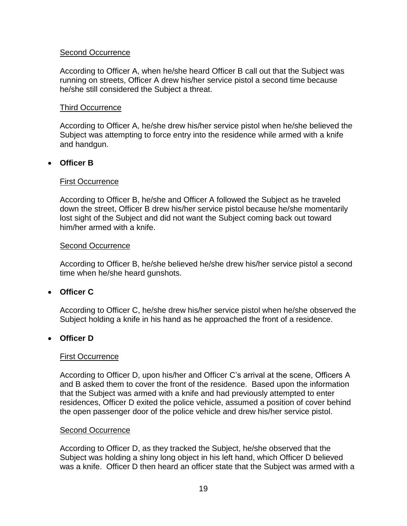#### Second Occurrence

According to Officer A, when he/she heard Officer B call out that the Subject was running on streets, Officer A drew his/her service pistol a second time because he/she still considered the Subject a threat.

#### Third Occurrence

According to Officer A, he/she drew his/her service pistol when he/she believed the Subject was attempting to force entry into the residence while armed with a knife and handgun.

#### • **Officer B**

#### First Occurrence

According to Officer B, he/she and Officer A followed the Subject as he traveled down the street, Officer B drew his/her service pistol because he/she momentarily lost sight of the Subject and did not want the Subject coming back out toward him/her armed with a knife.

#### Second Occurrence

According to Officer B, he/she believed he/she drew his/her service pistol a second time when he/she heard gunshots.

### • **Officer C**

According to Officer C, he/she drew his/her service pistol when he/she observed the Subject holding a knife in his hand as he approached the front of a residence.

### • **Officer D**

#### First Occurrence

According to Officer D, upon his/her and Officer C's arrival at the scene, Officers A and B asked them to cover the front of the residence. Based upon the information that the Subject was armed with a knife and had previously attempted to enter residences, Officer D exited the police vehicle, assumed a position of cover behind the open passenger door of the police vehicle and drew his/her service pistol.

#### Second Occurrence

According to Officer D, as they tracked the Subject, he/she observed that the Subject was holding a shiny long object in his left hand, which Officer D believed was a knife. Officer D then heard an officer state that the Subject was armed with a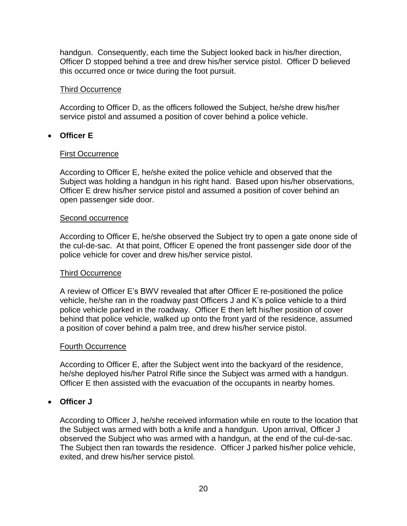handgun. Consequently, each time the Subject looked back in his/her direction, Officer D stopped behind a tree and drew his/her service pistol. Officer D believed this occurred once or twice during the foot pursuit.

#### Third Occurrence

According to Officer D, as the officers followed the Subject, he/she drew his/her service pistol and assumed a position of cover behind a police vehicle.

### • **Officer E**

#### First Occurrence

According to Officer E, he/she exited the police vehicle and observed that the Subject was holding a handgun in his right hand. Based upon his/her observations, Officer E drew his/her service pistol and assumed a position of cover behind an open passenger side door.

#### Second occurrence

According to Officer E, he/she observed the Subject try to open a gate onone side of the cul-de-sac. At that point, Officer E opened the front passenger side door of the police vehicle for cover and drew his/her service pistol.

### Third Occurrence

A review of Officer E's BWV revealed that after Officer E re-positioned the police vehicle, he/she ran in the roadway past Officers J and K's police vehicle to a third police vehicle parked in the roadway. Officer E then left his/her position of cover behind that police vehicle, walked up onto the front yard of the residence, assumed a position of cover behind a palm tree, and drew his/her service pistol.

#### Fourth Occurrence

According to Officer E, after the Subject went into the backyard of the residence, he/she deployed his/her Patrol Rifle since the Subject was armed with a handgun. Officer E then assisted with the evacuation of the occupants in nearby homes.

### • **Officer J**

According to Officer J, he/she received information while en route to the location that the Subject was armed with both a knife and a handgun. Upon arrival, Officer J observed the Subject who was armed with a handgun, at the end of the cul-de-sac. The Subject then ran towards the residence. Officer J parked his/her police vehicle, exited, and drew his/her service pistol.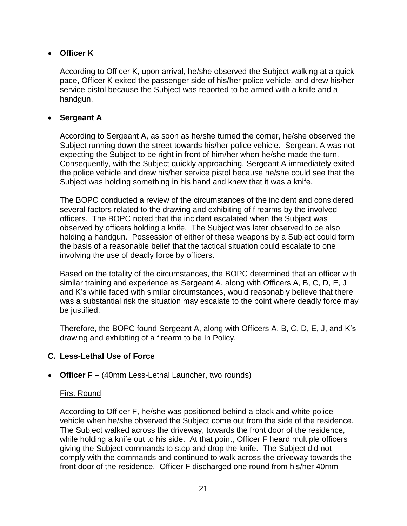## • **Officer K**

According to Officer K, upon arrival, he/she observed the Subject walking at a quick pace, Officer K exited the passenger side of his/her police vehicle, and drew his/her service pistol because the Subject was reported to be armed with a knife and a handgun.

## • **Sergeant A**

According to Sergeant A, as soon as he/she turned the corner, he/she observed the Subject running down the street towards his/her police vehicle. Sergeant A was not expecting the Subject to be right in front of him/her when he/she made the turn. Consequently, with the Subject quickly approaching, Sergeant A immediately exited the police vehicle and drew his/her service pistol because he/she could see that the Subject was holding something in his hand and knew that it was a knife.

The BOPC conducted a review of the circumstances of the incident and considered several factors related to the drawing and exhibiting of firearms by the involved officers. The BOPC noted that the incident escalated when the Subject was observed by officers holding a knife. The Subject was later observed to be also holding a handgun. Possession of either of these weapons by a Subject could form the basis of a reasonable belief that the tactical situation could escalate to one involving the use of deadly force by officers.

Based on the totality of the circumstances, the BOPC determined that an officer with similar training and experience as Sergeant A, along with Officers A, B, C, D, E, J and K's while faced with similar circumstances, would reasonably believe that there was a substantial risk the situation may escalate to the point where deadly force may be justified.

Therefore, the BOPC found Sergeant A, along with Officers A, B, C, D, E, J, and K's drawing and exhibiting of a firearm to be In Policy.

# **C. Less-Lethal Use of Force**

• **Officer F –** (40mm Less-Lethal Launcher, two rounds)

### First Round

According to Officer F, he/she was positioned behind a black and white police vehicle when he/she observed the Subject come out from the side of the residence. The Subject walked across the driveway, towards the front door of the residence, while holding a knife out to his side. At that point, Officer F heard multiple officers giving the Subject commands to stop and drop the knife. The Subject did not comply with the commands and continued to walk across the driveway towards the front door of the residence. Officer F discharged one round from his/her 40mm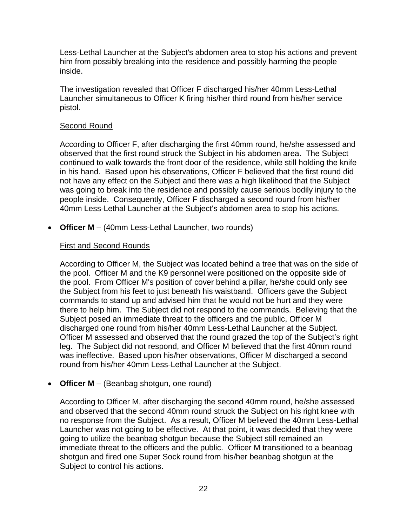Less-Lethal Launcher at the Subject's abdomen area to stop his actions and prevent him from possibly breaking into the residence and possibly harming the people inside.

The investigation revealed that Officer F discharged his/her 40mm Less-Lethal Launcher simultaneous to Officer K firing his/her third round from his/her service pistol.

### Second Round

According to Officer F, after discharging the first 40mm round, he/she assessed and observed that the first round struck the Subject in his abdomen area. The Subject continued to walk towards the front door of the residence, while still holding the knife in his hand. Based upon his observations, Officer F believed that the first round did not have any effect on the Subject and there was a high likelihood that the Subject was going to break into the residence and possibly cause serious bodily injury to the people inside. Consequently, Officer F discharged a second round from his/her 40mm Less-Lethal Launcher at the Subject's abdomen area to stop his actions.

• **Officer M** – (40mm Less-Lethal Launcher, two rounds)

## First and Second Rounds

According to Officer M, the Subject was located behind a tree that was on the side of the pool. Officer M and the K9 personnel were positioned on the opposite side of the pool. From Officer M's position of cover behind a pillar, he/she could only see the Subject from his feet to just beneath his waistband. Officers gave the Subject commands to stand up and advised him that he would not be hurt and they were there to help him. The Subject did not respond to the commands. Believing that the Subject posed an immediate threat to the officers and the public, Officer M discharged one round from his/her 40mm Less-Lethal Launcher at the Subject. Officer M assessed and observed that the round grazed the top of the Subject's right leg. The Subject did not respond, and Officer M believed that the first 40mm round was ineffective. Based upon his/her observations, Officer M discharged a second round from his/her 40mm Less-Lethal Launcher at the Subject.

### • **Officer M** – (Beanbag shotgun, one round)

According to Officer M, after discharging the second 40mm round, he/she assessed and observed that the second 40mm round struck the Subject on his right knee with no response from the Subject. As a result, Officer M believed the 40mm Less-Lethal Launcher was not going to be effective. At that point, it was decided that they were going to utilize the beanbag shotgun because the Subject still remained an immediate threat to the officers and the public. Officer M transitioned to a beanbag shotgun and fired one Super Sock round from his/her beanbag shotgun at the Subject to control his actions.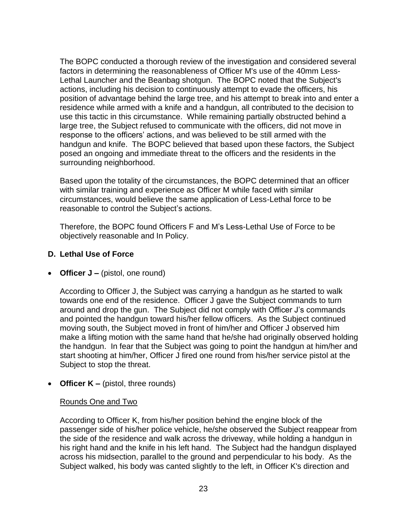The BOPC conducted a thorough review of the investigation and considered several factors in determining the reasonableness of Officer M's use of the 40mm Less-Lethal Launcher and the Beanbag shotgun. The BOPC noted that the Subject's actions, including his decision to continuously attempt to evade the officers, his position of advantage behind the large tree, and his attempt to break into and enter a residence while armed with a knife and a handgun, all contributed to the decision to use this tactic in this circumstance. While remaining partially obstructed behind a large tree, the Subject refused to communicate with the officers, did not move in response to the officers' actions, and was believed to be still armed with the handgun and knife. The BOPC believed that based upon these factors, the Subject posed an ongoing and immediate threat to the officers and the residents in the surrounding neighborhood.

Based upon the totality of the circumstances, the BOPC determined that an officer with similar training and experience as Officer M while faced with similar circumstances, would believe the same application of Less-Lethal force to be reasonable to control the Subject's actions.

Therefore, the BOPC found Officers F and M's Less-Lethal Use of Force to be objectively reasonable and In Policy.

### **D. Lethal Use of Force**

• **Officer J –** (pistol, one round)

According to Officer J, the Subject was carrying a handgun as he started to walk towards one end of the residence. Officer J gave the Subject commands to turn around and drop the gun. The Subject did not comply with Officer J's commands and pointed the handgun toward his/her fellow officers. As the Subject continued moving south, the Subject moved in front of him/her and Officer J observed him make a lifting motion with the same hand that he/she had originally observed holding the handgun. In fear that the Subject was going to point the handgun at him/her and start shooting at him/her, Officer J fired one round from his/her service pistol at the Subject to stop the threat.

• **Officer K –** (pistol, three rounds)

### Rounds One and Two

According to Officer K, from his/her position behind the engine block of the passenger side of his/her police vehicle, he/she observed the Subject reappear from the side of the residence and walk across the driveway, while holding a handgun in his right hand and the knife in his left hand. The Subject had the handgun displayed across his midsection, parallel to the ground and perpendicular to his body. As the Subject walked, his body was canted slightly to the left, in Officer K's direction and